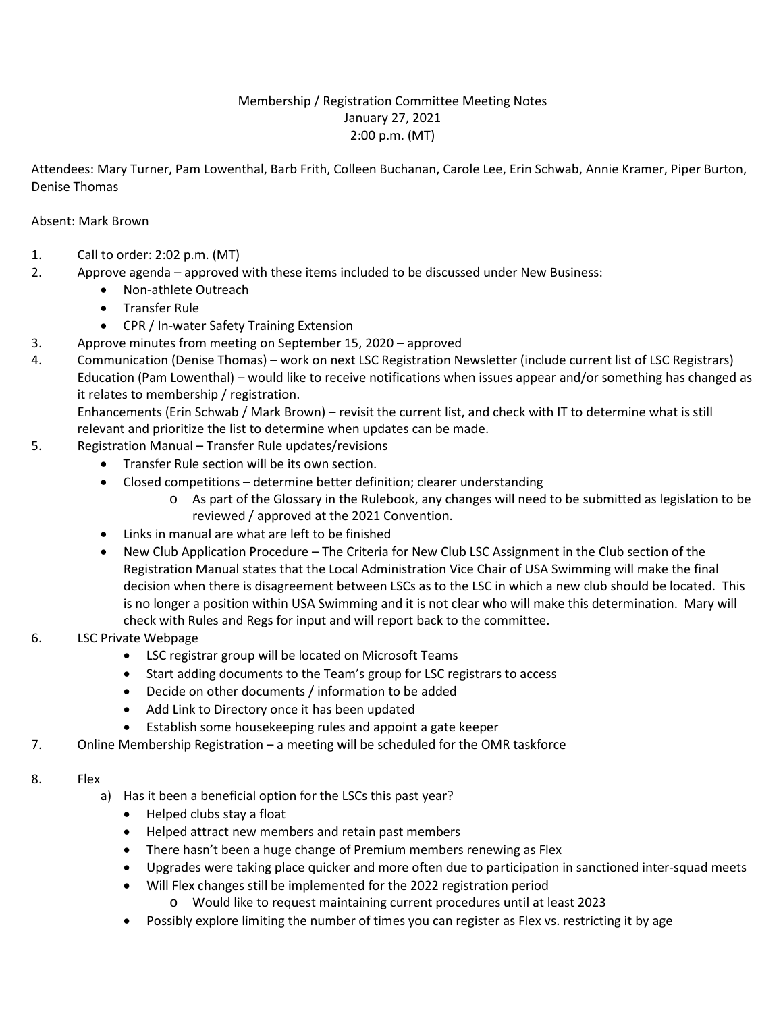# Membership / Registration Committee Meeting Notes January 27, 2021 2:00 p.m. (MT)

Attendees: Mary Turner, Pam Lowenthal, Barb Frith, Colleen Buchanan, Carole Lee, Erin Schwab, Annie Kramer, Piper Burton, Denise Thomas

# Absent: Mark Brown

- 1. Call to order: 2:02 p.m. (MT)
- 2. Approve agenda approved with these items included to be discussed under New Business:
	- Non-athlete Outreach
	- Transfer Rule
	- CPR / In-water Safety Training Extension
- 3. Approve minutes from meeting on September 15, 2020 approved
- 4. Communication (Denise Thomas) work on next LSC Registration Newsletter (include current list of LSC Registrars) Education (Pam Lowenthal) – would like to receive notifications when issues appear and/or something has changed as it relates to membership / registration.

Enhancements (Erin Schwab / Mark Brown) – revisit the current list, and check with IT to determine what is still relevant and prioritize the list to determine when updates can be made.

- 5. Registration Manual Transfer Rule updates/revisions
	- Transfer Rule section will be its own section.
	- Closed competitions determine better definition; clearer understanding
		- o As part of the Glossary in the Rulebook, any changes will need to be submitted as legislation to be reviewed / approved at the 2021 Convention.
	- Links in manual are what are left to be finished
	- New Club Application Procedure The Criteria for New Club LSC Assignment in the Club section of the Registration Manual states that the Local Administration Vice Chair of USA Swimming will make the final decision when there is disagreement between LSCs as to the LSC in which a new club should be located. This is no longer a position within USA Swimming and it is not clear who will make this determination. Mary will check with Rules and Regs for input and will report back to the committee.
- 6. LSC Private Webpage
	- LSC registrar group will be located on Microsoft Teams
	- Start adding documents to the Team's group for LSC registrars to access
	- Decide on other documents / information to be added
	- Add Link to Directory once it has been updated
	- Establish some housekeeping rules and appoint a gate keeper
- 7. Online Membership Registration a meeting will be scheduled for the OMR taskforce

### 8. Flex

- a) Has it been a beneficial option for the LSCs this past year?
	- Helped clubs stay a float
	- Helped attract new members and retain past members
	- There hasn't been a huge change of Premium members renewing as Flex
	- Upgrades were taking place quicker and more often due to participation in sanctioned inter-squad meets
	- Will Flex changes still be implemented for the 2022 registration period
		- o Would like to request maintaining current procedures until at least 2023
	- Possibly explore limiting the number of times you can register as Flex vs. restricting it by age